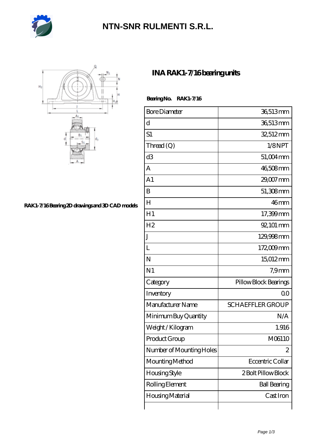

## **[NTN-SNR RULMENTI S.R.L.](https://m.jcvou.com)**



**[RAK1-7/16 Bearing 2D drawings and 3D CAD models](https://m.jcvou.com/pic-44107.html)**

## **[INA RAK1-7/16 bearing units](https://m.jcvou.com/bs-44107-ina-rak1-7-16-bearing-units.html)**

Bearing No. RAK1-7/16

| <b>Bore Diameter</b>     | 36,513mm                |
|--------------------------|-------------------------|
| d                        | 36,513mm                |
| S1                       | 32,512mm                |
| Thread (Q)               | 1/8NPT                  |
| d3                       | 51,004mm                |
| A                        | 46,508mm                |
| A <sub>1</sub>           | 29,007 mm               |
| B                        | 51,308mm                |
| H                        | 46 <sub>mm</sub>        |
| H1                       | 17,399mm                |
| H <sub>2</sub>           | 92, 101 mm              |
| J                        | 129,998 mm              |
| L                        | 172,009mm               |
| N                        | 15012mm                 |
| N <sub>1</sub>           | 7.9 <sub>mm</sub>       |
| Category                 | Pillow Block Bearings   |
| Inventory                | 0 <sup>0</sup>          |
| Manufacturer Name        | <b>SCHAEFFLER GROUP</b> |
| Minimum Buy Quantity     | N/A                     |
| Weight / Kilogram        | 1.916                   |
| Product Group            | M06110                  |
| Number of Mounting Holes | 2                       |
| Mounting Method          | Eccentric Collar        |
| <b>Housing Style</b>     | 2 Bolt Pillow Block     |
| Rolling Element          | <b>Ball Bearing</b>     |
| Housing Material         | Cast Iron               |
|                          |                         |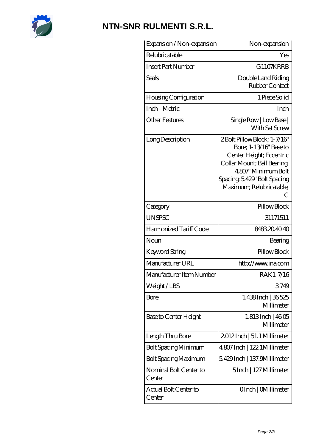

## **[NTN-SNR RULMENTI S.R.L.](https://m.jcvou.com)**

| Expansion / Non-expansion        | Non-expansion                                                                                                                                                                                              |
|----------------------------------|------------------------------------------------------------------------------------------------------------------------------------------------------------------------------------------------------------|
| Relubricatable                   | Yes                                                                                                                                                                                                        |
| <b>Insert Part Number</b>        | G1107KRRB                                                                                                                                                                                                  |
| Seals                            | Double Land Riding<br>Rubber Contact                                                                                                                                                                       |
| Housing Configuration            | 1 Piece Solid                                                                                                                                                                                              |
| Inch - Metric                    | Inch                                                                                                                                                                                                       |
| <b>Other Features</b>            | Single Row   Low Base  <br>With Set Screw                                                                                                                                                                  |
| Long Description                 | 2Bolt Pillow Block; 1-7/16"<br>Bore: 1-13/16" Base to<br>Center Height; Eccentric<br>Collar Mount; Ball Bearing;<br>4.807" Minimum Bolt<br>Spacing, 5.429" Bolt Spacing<br>Maximum; Relubricatable;<br>( ∶ |
| Category                         | Pillow Block                                                                                                                                                                                               |
| <b>UNSPSC</b>                    | 31171511                                                                                                                                                                                                   |
| Harmonized Tariff Code           | 8483204040                                                                                                                                                                                                 |
| Noun                             | Bearing                                                                                                                                                                                                    |
| Keyword String                   | Pillow Block                                                                                                                                                                                               |
| Manufacturer URL                 | http://www.ina.com                                                                                                                                                                                         |
| Manufacturer Item Number         | RAK1-7/16                                                                                                                                                                                                  |
| Weight/LBS                       | 3749                                                                                                                                                                                                       |
| Bore                             | 1.438Inch   36.525<br>Millimeter                                                                                                                                                                           |
| Base to Center Height            | 1.813Inch   4605<br>Millimeter                                                                                                                                                                             |
| Length Thru Bore                 | 2012Inch   51.1 Millimeter                                                                                                                                                                                 |
| Bolt Spacing Minimum             | 4.807 Inch   122. 1Millimeter                                                                                                                                                                              |
| <b>Bolt Spacing Maximum</b>      | 5.429Inch   137.9Millimeter                                                                                                                                                                                |
| Nominal Bolt Center to<br>Center | 5Inch   127 Millimeter                                                                                                                                                                                     |
| Actual Bolt Center to<br>Center  | OInch   CMillimeter                                                                                                                                                                                        |